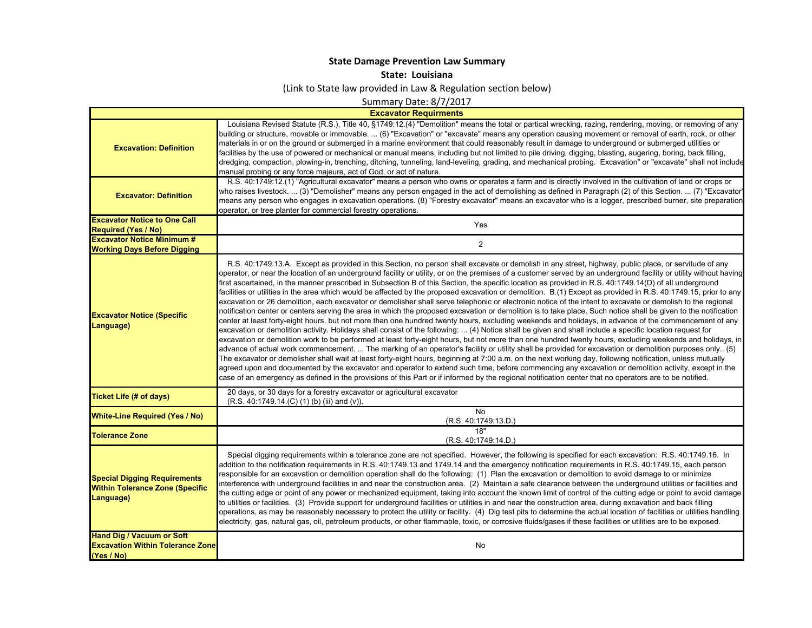## **State Damage Prevention Law Summary**

## **State: Louisiana**

(Link to State law provided in Law & Regulation section below)

Summary Date: 8/7/2017

| <b>Excavator Requirments</b>                                                               |                                                                                                                                                                                                                                                                                                                                                                                                                                                                                                                                                                                                                                                                                                                                                                                                                                                                                                                                                                                                                                                                                                                                                                                                                                                                                                                                                                                                                                                                                                                                                                                                                                                                                                                                                                                                                                                                                                                                                                                                                                                                                                                           |
|--------------------------------------------------------------------------------------------|---------------------------------------------------------------------------------------------------------------------------------------------------------------------------------------------------------------------------------------------------------------------------------------------------------------------------------------------------------------------------------------------------------------------------------------------------------------------------------------------------------------------------------------------------------------------------------------------------------------------------------------------------------------------------------------------------------------------------------------------------------------------------------------------------------------------------------------------------------------------------------------------------------------------------------------------------------------------------------------------------------------------------------------------------------------------------------------------------------------------------------------------------------------------------------------------------------------------------------------------------------------------------------------------------------------------------------------------------------------------------------------------------------------------------------------------------------------------------------------------------------------------------------------------------------------------------------------------------------------------------------------------------------------------------------------------------------------------------------------------------------------------------------------------------------------------------------------------------------------------------------------------------------------------------------------------------------------------------------------------------------------------------------------------------------------------------------------------------------------------------|
| <b>Excavation: Definition</b>                                                              | Louisiana Revised Statute (R.S.), Title 40, §1749:12.(4) "Demolition" means the total or partical wrecking, razing, rendering, moving, or removing of any<br>building or structure, movable or immovable.  (6) "Excavation" or "excavate" means any operation causing movement or removal of earth, rock, or other<br>materials in or on the ground or submerged in a marine environment that could reasonably result in damage to underground or submerged utilities or<br>facilities by the use of powered or mechanical or manual means, including but not limited to pile driving, digging, blasting, augering, boring, back filling,<br>dredging, compaction, plowing-in, trenching, ditching, tunneling, land-leveling, grading, and mechanical probing. Excavation" or "excavate" shall not include<br>manual probing or any force majeure, act of God, or act of nature.                                                                                                                                                                                                                                                                                                                                                                                                                                                                                                                                                                                                                                                                                                                                                                                                                                                                                                                                                                                                                                                                                                                                                                                                                                          |
| <b>Excavator: Definition</b>                                                               | R.S. 40:1749:12.(1) "Agricultural excavator" means a person who owns or operates a farm and is directly involved in the cultivation of land or crops or<br>who raises livestock.  (3) "Demolisher" means any person engaged in the act of demolishing as defined in Paragraph (2) of this Section.  (7) "Excavator<br>means any person who engages in excavation operations. (8) "Forestry excavator" means an excavator who is a logger, prescribed burner, site preparation<br>operator, or tree planter for commercial forestry operations.                                                                                                                                                                                                                                                                                                                                                                                                                                                                                                                                                                                                                                                                                                                                                                                                                                                                                                                                                                                                                                                                                                                                                                                                                                                                                                                                                                                                                                                                                                                                                                            |
| <b>Excavator Notice to One Call</b><br><b>Required (Yes / No)</b>                          | Yes                                                                                                                                                                                                                                                                                                                                                                                                                                                                                                                                                                                                                                                                                                                                                                                                                                                                                                                                                                                                                                                                                                                                                                                                                                                                                                                                                                                                                                                                                                                                                                                                                                                                                                                                                                                                                                                                                                                                                                                                                                                                                                                       |
| <b>Excavator Notice Minimum #</b><br><b>Working Days Before Digging</b>                    | 2                                                                                                                                                                                                                                                                                                                                                                                                                                                                                                                                                                                                                                                                                                                                                                                                                                                                                                                                                                                                                                                                                                                                                                                                                                                                                                                                                                                                                                                                                                                                                                                                                                                                                                                                                                                                                                                                                                                                                                                                                                                                                                                         |
| <b>Excavator Notice (Specific</b><br>Language)                                             | R.S. 40:1749.13.A. Except as provided in this Section, no person shall excavate or demolish in any street, highway, public place, or servitude of any<br>operator, or near the location of an underground facility or utility, or on the premises of a customer served by an underground facility or utility without having<br>first ascertained, in the manner prescribed in Subsection B of this Section, the specific location as provided in R.S. 40:1749.14(D) of all underground<br>facilities or utilities in the area which would be affected by the proposed excavation or demolition. B.(1) Except as provided in R.S. 40:1749.15, prior to any<br>excavation or 26 demolition, each excavator or demolisher shall serve telephonic or electronic notice of the intent to excavate or demolish to the regional<br>notification center or centers serving the area in which the proposed excavation or demolition is to take place. Such notice shall be given to the notification<br>center at least forty-eight hours, but not more than one hundred twenty hours, excluding weekends and holidays, in advance of the commencement of any<br>excavation or demolition activity. Holidays shall consist of the following:  (4) Notice shall be given and shall include a specific location request for<br>excavation or demolition work to be performed at least forty-eight hours, but not more than one hundred twenty hours, excluding weekends and holidays, in<br>advance of actual work commencement.  The marking of an operator's facility or utility shall be provided for excavation or demolition purposes only (5)<br>The excavator or demolisher shall wait at least forty-eight hours, beginning at 7:00 a.m. on the next working day, following notification, unless mutually<br>agreed upon and documented by the excavator and operator to extend such time, before commencing any excavation or demolition activity, except in the<br>case of an emergency as defined in the provisions of this Part or if informed by the regional notification center that no operators are to be notified. |
| <b>Ticket Life (# of days)</b>                                                             | 20 days, or 30 days for a forestry excavator or agricultural excavator<br>(R.S. 40:1749.14.(C) (1) (b) (iii) and (v)).                                                                                                                                                                                                                                                                                                                                                                                                                                                                                                                                                                                                                                                                                                                                                                                                                                                                                                                                                                                                                                                                                                                                                                                                                                                                                                                                                                                                                                                                                                                                                                                                                                                                                                                                                                                                                                                                                                                                                                                                    |
| <b>White-Line Required (Yes / No)</b>                                                      | No<br>(R.S. 40:1749:13.D.)                                                                                                                                                                                                                                                                                                                                                                                                                                                                                                                                                                                                                                                                                                                                                                                                                                                                                                                                                                                                                                                                                                                                                                                                                                                                                                                                                                                                                                                                                                                                                                                                                                                                                                                                                                                                                                                                                                                                                                                                                                                                                                |
| <b>Tolerance Zone</b>                                                                      | 18"<br>(R.S. 40:1749:14.D.)                                                                                                                                                                                                                                                                                                                                                                                                                                                                                                                                                                                                                                                                                                                                                                                                                                                                                                                                                                                                                                                                                                                                                                                                                                                                                                                                                                                                                                                                                                                                                                                                                                                                                                                                                                                                                                                                                                                                                                                                                                                                                               |
| <b>Special Digging Requirements</b><br><b>Within Tolerance Zone (Specific</b><br>Language) | Special digging requirements within a tolerance zone are not specified. However, the following is specified for each excavation: R.S. 40:1749.16. In<br>addition to the notification requirements in R.S. 40:1749.13 and 1749.14 and the emergency notification requirements in R.S. 40:1749.15, each person<br>responsible for an excavation or demolition operation shall do the following: (1) Plan the excavation or demolition to avoid damage to or minimize<br>interference with underground facilities in and near the construction area. (2) Maintain a safe clearance between the underground utilities or facilities and<br>the cutting edge or point of any power or mechanized equipment, taking into account the known limit of control of the cutting edge or point to avoid damage<br>to utilities or facilities. (3) Provide support for underground facilities or utilities in and near the construction area, during excavation and back filling<br>operations, as may be reasonably necessary to protect the utility or facility. (4) Dig test pits to determine the actual location of facilities or utilities handling<br>electricity, gas, natural gas, oil, petroleum products, or other flammable, toxic, or corrosive fluids/gases if these facilities or utilities are to be exposed.                                                                                                                                                                                                                                                                                                                                                                                                                                                                                                                                                                                                                                                                                                                                                                                                          |
| <b>Hand Dig / Vacuum or Soft</b><br><b>Excavation Within Tolerance Zone</b><br>(Yes / No)  | No                                                                                                                                                                                                                                                                                                                                                                                                                                                                                                                                                                                                                                                                                                                                                                                                                                                                                                                                                                                                                                                                                                                                                                                                                                                                                                                                                                                                                                                                                                                                                                                                                                                                                                                                                                                                                                                                                                                                                                                                                                                                                                                        |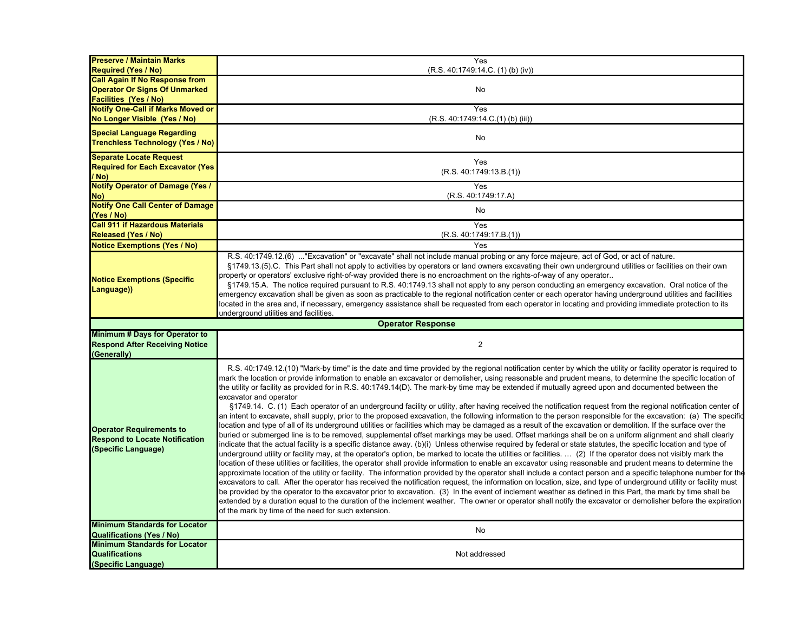| <b>Preserve / Maintain Marks</b><br><b>Required (Yes / No)</b>                                  | Yes                                                                                                                                                                                                                                                                                                                                                                                                                                                                                                                                                                                                                                                                                                                                                                                                                                                                                                                                                                                                                                                                                                                                                                                                                                                                                                                                                                                                                                                                                                                                                                                                                                                                                                                                                                                                                                                                                                                                                                                                                                                                                                                                                                                                                                                                                                                                                                                                         |
|-------------------------------------------------------------------------------------------------|-------------------------------------------------------------------------------------------------------------------------------------------------------------------------------------------------------------------------------------------------------------------------------------------------------------------------------------------------------------------------------------------------------------------------------------------------------------------------------------------------------------------------------------------------------------------------------------------------------------------------------------------------------------------------------------------------------------------------------------------------------------------------------------------------------------------------------------------------------------------------------------------------------------------------------------------------------------------------------------------------------------------------------------------------------------------------------------------------------------------------------------------------------------------------------------------------------------------------------------------------------------------------------------------------------------------------------------------------------------------------------------------------------------------------------------------------------------------------------------------------------------------------------------------------------------------------------------------------------------------------------------------------------------------------------------------------------------------------------------------------------------------------------------------------------------------------------------------------------------------------------------------------------------------------------------------------------------------------------------------------------------------------------------------------------------------------------------------------------------------------------------------------------------------------------------------------------------------------------------------------------------------------------------------------------------------------------------------------------------------------------------------------------------|
|                                                                                                 | (R.S. 40:1749:14.C. (1) (b) (iv))                                                                                                                                                                                                                                                                                                                                                                                                                                                                                                                                                                                                                                                                                                                                                                                                                                                                                                                                                                                                                                                                                                                                                                                                                                                                                                                                                                                                                                                                                                                                                                                                                                                                                                                                                                                                                                                                                                                                                                                                                                                                                                                                                                                                                                                                                                                                                                           |
| <b>Call Again If No Response from</b>                                                           |                                                                                                                                                                                                                                                                                                                                                                                                                                                                                                                                                                                                                                                                                                                                                                                                                                                                                                                                                                                                                                                                                                                                                                                                                                                                                                                                                                                                                                                                                                                                                                                                                                                                                                                                                                                                                                                                                                                                                                                                                                                                                                                                                                                                                                                                                                                                                                                                             |
| <b>Operator Or Signs Of Unmarked</b>                                                            | No                                                                                                                                                                                                                                                                                                                                                                                                                                                                                                                                                                                                                                                                                                                                                                                                                                                                                                                                                                                                                                                                                                                                                                                                                                                                                                                                                                                                                                                                                                                                                                                                                                                                                                                                                                                                                                                                                                                                                                                                                                                                                                                                                                                                                                                                                                                                                                                                          |
| <b>Facilities (Yes / No)</b>                                                                    |                                                                                                                                                                                                                                                                                                                                                                                                                                                                                                                                                                                                                                                                                                                                                                                                                                                                                                                                                                                                                                                                                                                                                                                                                                                                                                                                                                                                                                                                                                                                                                                                                                                                                                                                                                                                                                                                                                                                                                                                                                                                                                                                                                                                                                                                                                                                                                                                             |
| <b>Notify One-Call if Marks Moved or</b>                                                        | Yes                                                                                                                                                                                                                                                                                                                                                                                                                                                                                                                                                                                                                                                                                                                                                                                                                                                                                                                                                                                                                                                                                                                                                                                                                                                                                                                                                                                                                                                                                                                                                                                                                                                                                                                                                                                                                                                                                                                                                                                                                                                                                                                                                                                                                                                                                                                                                                                                         |
| No Longer Visible (Yes / No)                                                                    | (R.S. 40:1749:14.C.(1) (b) (iii))                                                                                                                                                                                                                                                                                                                                                                                                                                                                                                                                                                                                                                                                                                                                                                                                                                                                                                                                                                                                                                                                                                                                                                                                                                                                                                                                                                                                                                                                                                                                                                                                                                                                                                                                                                                                                                                                                                                                                                                                                                                                                                                                                                                                                                                                                                                                                                           |
| <b>Special Language Regarding</b>                                                               |                                                                                                                                                                                                                                                                                                                                                                                                                                                                                                                                                                                                                                                                                                                                                                                                                                                                                                                                                                                                                                                                                                                                                                                                                                                                                                                                                                                                                                                                                                                                                                                                                                                                                                                                                                                                                                                                                                                                                                                                                                                                                                                                                                                                                                                                                                                                                                                                             |
|                                                                                                 | No                                                                                                                                                                                                                                                                                                                                                                                                                                                                                                                                                                                                                                                                                                                                                                                                                                                                                                                                                                                                                                                                                                                                                                                                                                                                                                                                                                                                                                                                                                                                                                                                                                                                                                                                                                                                                                                                                                                                                                                                                                                                                                                                                                                                                                                                                                                                                                                                          |
| <b>Trenchless Technology (Yes / No)</b>                                                         |                                                                                                                                                                                                                                                                                                                                                                                                                                                                                                                                                                                                                                                                                                                                                                                                                                                                                                                                                                                                                                                                                                                                                                                                                                                                                                                                                                                                                                                                                                                                                                                                                                                                                                                                                                                                                                                                                                                                                                                                                                                                                                                                                                                                                                                                                                                                                                                                             |
| <b>Separate Locate Request</b>                                                                  |                                                                                                                                                                                                                                                                                                                                                                                                                                                                                                                                                                                                                                                                                                                                                                                                                                                                                                                                                                                                                                                                                                                                                                                                                                                                                                                                                                                                                                                                                                                                                                                                                                                                                                                                                                                                                                                                                                                                                                                                                                                                                                                                                                                                                                                                                                                                                                                                             |
| <b>Required for Each Excavator (Yes)</b>                                                        | Yes                                                                                                                                                                                                                                                                                                                                                                                                                                                                                                                                                                                                                                                                                                                                                                                                                                                                                                                                                                                                                                                                                                                                                                                                                                                                                                                                                                                                                                                                                                                                                                                                                                                                                                                                                                                                                                                                                                                                                                                                                                                                                                                                                                                                                                                                                                                                                                                                         |
| / No)                                                                                           | (R.S. 40:1749:13.B.(1))                                                                                                                                                                                                                                                                                                                                                                                                                                                                                                                                                                                                                                                                                                                                                                                                                                                                                                                                                                                                                                                                                                                                                                                                                                                                                                                                                                                                                                                                                                                                                                                                                                                                                                                                                                                                                                                                                                                                                                                                                                                                                                                                                                                                                                                                                                                                                                                     |
| <b>Notify Operator of Damage (Yes /</b>                                                         | Yes                                                                                                                                                                                                                                                                                                                                                                                                                                                                                                                                                                                                                                                                                                                                                                                                                                                                                                                                                                                                                                                                                                                                                                                                                                                                                                                                                                                                                                                                                                                                                                                                                                                                                                                                                                                                                                                                                                                                                                                                                                                                                                                                                                                                                                                                                                                                                                                                         |
| No)                                                                                             | (R.S. 40:1749:17.A)                                                                                                                                                                                                                                                                                                                                                                                                                                                                                                                                                                                                                                                                                                                                                                                                                                                                                                                                                                                                                                                                                                                                                                                                                                                                                                                                                                                                                                                                                                                                                                                                                                                                                                                                                                                                                                                                                                                                                                                                                                                                                                                                                                                                                                                                                                                                                                                         |
| <b>Notify One Call Center of Damage</b>                                                         |                                                                                                                                                                                                                                                                                                                                                                                                                                                                                                                                                                                                                                                                                                                                                                                                                                                                                                                                                                                                                                                                                                                                                                                                                                                                                                                                                                                                                                                                                                                                                                                                                                                                                                                                                                                                                                                                                                                                                                                                                                                                                                                                                                                                                                                                                                                                                                                                             |
| (Yes / No)                                                                                      | No                                                                                                                                                                                                                                                                                                                                                                                                                                                                                                                                                                                                                                                                                                                                                                                                                                                                                                                                                                                                                                                                                                                                                                                                                                                                                                                                                                                                                                                                                                                                                                                                                                                                                                                                                                                                                                                                                                                                                                                                                                                                                                                                                                                                                                                                                                                                                                                                          |
| <b>Call 911 if Hazardous Materials</b>                                                          | Yes                                                                                                                                                                                                                                                                                                                                                                                                                                                                                                                                                                                                                                                                                                                                                                                                                                                                                                                                                                                                                                                                                                                                                                                                                                                                                                                                                                                                                                                                                                                                                                                                                                                                                                                                                                                                                                                                                                                                                                                                                                                                                                                                                                                                                                                                                                                                                                                                         |
| <b>Released (Yes / No)</b>                                                                      | (R.S. 40:1749:17.B.(1))                                                                                                                                                                                                                                                                                                                                                                                                                                                                                                                                                                                                                                                                                                                                                                                                                                                                                                                                                                                                                                                                                                                                                                                                                                                                                                                                                                                                                                                                                                                                                                                                                                                                                                                                                                                                                                                                                                                                                                                                                                                                                                                                                                                                                                                                                                                                                                                     |
|                                                                                                 |                                                                                                                                                                                                                                                                                                                                                                                                                                                                                                                                                                                                                                                                                                                                                                                                                                                                                                                                                                                                                                                                                                                                                                                                                                                                                                                                                                                                                                                                                                                                                                                                                                                                                                                                                                                                                                                                                                                                                                                                                                                                                                                                                                                                                                                                                                                                                                                                             |
| <b>Notice Exemptions (Yes / No)</b>                                                             | Yes                                                                                                                                                                                                                                                                                                                                                                                                                                                                                                                                                                                                                                                                                                                                                                                                                                                                                                                                                                                                                                                                                                                                                                                                                                                                                                                                                                                                                                                                                                                                                                                                                                                                                                                                                                                                                                                                                                                                                                                                                                                                                                                                                                                                                                                                                                                                                                                                         |
| <b>Notice Exemptions (Specific</b><br>Language))                                                | R.S. 40:1749.12.(6) "Excavation" or "excavate" shall not include manual probing or any force majeure, act of God, or act of nature.<br>§1749.13.(5).C. This Part shall not apply to activities by operators or land owners excavating their own underground utilities or facilities on their own<br>property or operators' exclusive right-of-way provided there is no encroachment on the rights-of-way of any operator<br>§1749.15.A. The notice required pursuant to R.S. 40:1749.13 shall not apply to any person conducting an emergency excavation. Oral notice of the<br>emergency excavation shall be given as soon as practicable to the regional notification center or each operator having underground utilities and facilities<br>located in the area and, if necessary, emergency assistance shall be requested from each operator in locating and providing immediate protection to its<br>underground utilities and facilities.                                                                                                                                                                                                                                                                                                                                                                                                                                                                                                                                                                                                                                                                                                                                                                                                                                                                                                                                                                                                                                                                                                                                                                                                                                                                                                                                                                                                                                                             |
|                                                                                                 | <b>Operator Response</b>                                                                                                                                                                                                                                                                                                                                                                                                                                                                                                                                                                                                                                                                                                                                                                                                                                                                                                                                                                                                                                                                                                                                                                                                                                                                                                                                                                                                                                                                                                                                                                                                                                                                                                                                                                                                                                                                                                                                                                                                                                                                                                                                                                                                                                                                                                                                                                                    |
| Minimum # Days for Operator to                                                                  |                                                                                                                                                                                                                                                                                                                                                                                                                                                                                                                                                                                                                                                                                                                                                                                                                                                                                                                                                                                                                                                                                                                                                                                                                                                                                                                                                                                                                                                                                                                                                                                                                                                                                                                                                                                                                                                                                                                                                                                                                                                                                                                                                                                                                                                                                                                                                                                                             |
| <b>Respond After Receiving Notice</b>                                                           | $\overline{2}$                                                                                                                                                                                                                                                                                                                                                                                                                                                                                                                                                                                                                                                                                                                                                                                                                                                                                                                                                                                                                                                                                                                                                                                                                                                                                                                                                                                                                                                                                                                                                                                                                                                                                                                                                                                                                                                                                                                                                                                                                                                                                                                                                                                                                                                                                                                                                                                              |
| (Generally)                                                                                     |                                                                                                                                                                                                                                                                                                                                                                                                                                                                                                                                                                                                                                                                                                                                                                                                                                                                                                                                                                                                                                                                                                                                                                                                                                                                                                                                                                                                                                                                                                                                                                                                                                                                                                                                                                                                                                                                                                                                                                                                                                                                                                                                                                                                                                                                                                                                                                                                             |
| <b>Operator Requirements to</b><br><b>Respond to Locate Notification</b><br>(Specific Language) | R.S. 40:1749.12.(10) "Mark-by time" is the date and time provided by the regional notification center by which the utility or facility operator is required to<br>mark the location or provide information to enable an excavator or demolisher, using reasonable and prudent means, to determine the specific location of<br>the utility or facility as provided for in R.S. 40:1749.14(D). The mark-by time may be extended if mutually agreed upon and documented between the<br>excavator and operator<br>§1749.14. C. (1) Each operator of an underground facility or utility, after having received the notification request from the regional notification center of<br>an intent to excavate, shall supply, prior to the proposed excavation, the following information to the person responsible for the excavation: (a) The specific<br>location and type of all of its underground utilities or facilities which may be damaged as a result of the excavation or demolition. If the surface over the<br>buried or submerged line is to be removed, supplemental offset markings may be used. Offset markings shall be on a uniform alignment and shall clearly<br>indicate that the actual facility is a specific distance away. (b)(i) Unless otherwise required by federal or state statutes, the specific location and type of<br>underground utility or facility may, at the operator's option, be marked to locate the utilities or facilities.  (2) If the operator does not visibly mark the<br>location of these utilities or facilities, the operator shall provide information to enable an excavator using reasonable and prudent means to determine the<br>approximate location of the utility or facility. The information provided by the operator shall include a contact person and a specific telephone number for the<br>excavators to call. After the operator has received the notification request, the information on location, size, and type of underground utility or facility must<br>be provided by the operator to the excavator prior to excavation. (3) In the event of inclement weather as defined in this Part, the mark by time shall be<br>extended by a duration equal to the duration of the inclement weather. The owner or operator shall notify the excavator or demolisher before the expiration<br>of the mark by time of the need for such extension. |
| <b>Minimum Standards for Locator</b>                                                            | No                                                                                                                                                                                                                                                                                                                                                                                                                                                                                                                                                                                                                                                                                                                                                                                                                                                                                                                                                                                                                                                                                                                                                                                                                                                                                                                                                                                                                                                                                                                                                                                                                                                                                                                                                                                                                                                                                                                                                                                                                                                                                                                                                                                                                                                                                                                                                                                                          |
| <b>Qualifications (Yes / No)</b><br><b>Minimum Standards for Locator</b>                        |                                                                                                                                                                                                                                                                                                                                                                                                                                                                                                                                                                                                                                                                                                                                                                                                                                                                                                                                                                                                                                                                                                                                                                                                                                                                                                                                                                                                                                                                                                                                                                                                                                                                                                                                                                                                                                                                                                                                                                                                                                                                                                                                                                                                                                                                                                                                                                                                             |
|                                                                                                 |                                                                                                                                                                                                                                                                                                                                                                                                                                                                                                                                                                                                                                                                                                                                                                                                                                                                                                                                                                                                                                                                                                                                                                                                                                                                                                                                                                                                                                                                                                                                                                                                                                                                                                                                                                                                                                                                                                                                                                                                                                                                                                                                                                                                                                                                                                                                                                                                             |
|                                                                                                 |                                                                                                                                                                                                                                                                                                                                                                                                                                                                                                                                                                                                                                                                                                                                                                                                                                                                                                                                                                                                                                                                                                                                                                                                                                                                                                                                                                                                                                                                                                                                                                                                                                                                                                                                                                                                                                                                                                                                                                                                                                                                                                                                                                                                                                                                                                                                                                                                             |
| <b>Qualifications</b><br>(Specific Language)                                                    | Not addressed                                                                                                                                                                                                                                                                                                                                                                                                                                                                                                                                                                                                                                                                                                                                                                                                                                                                                                                                                                                                                                                                                                                                                                                                                                                                                                                                                                                                                                                                                                                                                                                                                                                                                                                                                                                                                                                                                                                                                                                                                                                                                                                                                                                                                                                                                                                                                                                               |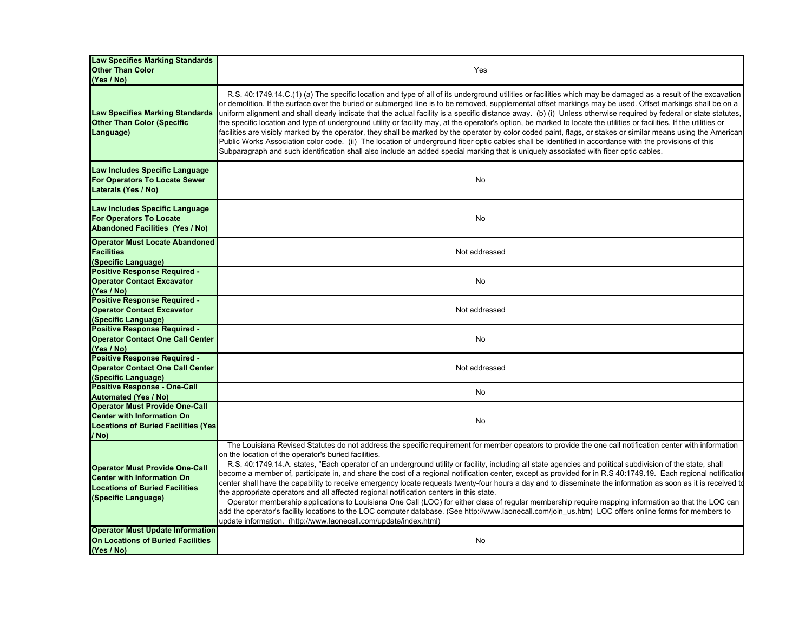| <b>Law Specifies Marking Standards</b><br><b>Other Than Color</b><br>(Yes / No)                                                            | Yes                                                                                                                                                                                                                                                                                                                                                                                                                                                                                                                                                                                                                                                                                                                                                                                                                                                                                                                                                                                                                                                                                                                                                                                              |
|--------------------------------------------------------------------------------------------------------------------------------------------|--------------------------------------------------------------------------------------------------------------------------------------------------------------------------------------------------------------------------------------------------------------------------------------------------------------------------------------------------------------------------------------------------------------------------------------------------------------------------------------------------------------------------------------------------------------------------------------------------------------------------------------------------------------------------------------------------------------------------------------------------------------------------------------------------------------------------------------------------------------------------------------------------------------------------------------------------------------------------------------------------------------------------------------------------------------------------------------------------------------------------------------------------------------------------------------------------|
| <b>Law Specifies Marking Standards</b><br><b>Other Than Color (Specific</b><br>Language)                                                   | R.S. 40:1749.14.C.(1) (a) The specific location and type of all of its underground utilities or facilities which may be damaged as a result of the excavation<br>or demolition. If the surface over the buried or submerged line is to be removed, supplemental offset markings may be used. Offset markings shall be on a<br>uniform alignment and shall clearly indicate that the actual facility is a specific distance away. (b) (i) Unless otherwise required by federal or state statutes,<br>the specific location and type of underground utility or facility may, at the operator's option, be marked to locate the utilities or facilities. If the utilities or<br>facilities are visibly marked by the operator, they shall be marked by the operator by color coded paint, flags, or stakes or similar means using the American<br>Public Works Association color code. (ii) The location of underground fiber optic cables shall be identified in accordance with the provisions of this<br>Subparagraph and such identification shall also include an added special marking that is uniquely associated with fiber optic cables.                                                   |
| Law Includes Specific Language<br>For Operators To Locate Sewer<br>Laterals (Yes / No)                                                     | <b>No</b>                                                                                                                                                                                                                                                                                                                                                                                                                                                                                                                                                                                                                                                                                                                                                                                                                                                                                                                                                                                                                                                                                                                                                                                        |
| Law Includes Specific Language<br><b>For Operators To Locate</b><br><b>Abandoned Facilities (Yes / No)</b>                                 | No                                                                                                                                                                                                                                                                                                                                                                                                                                                                                                                                                                                                                                                                                                                                                                                                                                                                                                                                                                                                                                                                                                                                                                                               |
| <b>Operator Must Locate Abandoned</b><br><b>Facilities</b><br>(Specific Language)                                                          | Not addressed                                                                                                                                                                                                                                                                                                                                                                                                                                                                                                                                                                                                                                                                                                                                                                                                                                                                                                                                                                                                                                                                                                                                                                                    |
| <b>Positive Response Required -</b><br><b>Operator Contact Excavator</b><br>(Yes / No)                                                     | No                                                                                                                                                                                                                                                                                                                                                                                                                                                                                                                                                                                                                                                                                                                                                                                                                                                                                                                                                                                                                                                                                                                                                                                               |
| <b>Positive Response Required -</b><br><b>Operator Contact Excavator</b><br>(Specific Language)                                            | Not addressed                                                                                                                                                                                                                                                                                                                                                                                                                                                                                                                                                                                                                                                                                                                                                                                                                                                                                                                                                                                                                                                                                                                                                                                    |
| <b>Positive Response Required -</b><br><b>Operator Contact One Call Center</b><br>(Yes / No)                                               | No                                                                                                                                                                                                                                                                                                                                                                                                                                                                                                                                                                                                                                                                                                                                                                                                                                                                                                                                                                                                                                                                                                                                                                                               |
| <b>Positive Response Required -</b><br><b>Operator Contact One Call Center</b><br>(Specific Language)                                      | Not addressed                                                                                                                                                                                                                                                                                                                                                                                                                                                                                                                                                                                                                                                                                                                                                                                                                                                                                                                                                                                                                                                                                                                                                                                    |
| <b>Positive Response - One-Call</b><br><b>Automated (Yes / No)</b>                                                                         | No                                                                                                                                                                                                                                                                                                                                                                                                                                                                                                                                                                                                                                                                                                                                                                                                                                                                                                                                                                                                                                                                                                                                                                                               |
| <b>Operator Must Provide One-Call</b><br><b>Center with Information On</b><br><b>Locations of Buried Facilities (Yes</b><br>/ No)          | No                                                                                                                                                                                                                                                                                                                                                                                                                                                                                                                                                                                                                                                                                                                                                                                                                                                                                                                                                                                                                                                                                                                                                                                               |
| <b>Operator Must Provide One-Call</b><br><b>Center with Information On</b><br><b>Locations of Buried Facilities</b><br>(Specific Language) | The Louisiana Revised Statutes do not address the specific requirement for member opeators to provide the one call notification center with information<br>on the location of the operator's buried facilities.<br>R.S. 40:1749.14.A. states, "Each operator of an underground utility or facility, including all state agencies and political subdivision of the state, shall<br>become a member of, participate in, and share the cost of a regional notification center, except as provided for in R.S 40:1749.19. Each regional notificatior<br>center shall have the capability to receive emergency locate requests twenty-four hours a day and to disseminate the information as soon as it is received to<br>the appropriate operators and all affected regional notification centers in this state.<br>Operator membership applications to Louisiana One Call (LOC) for either class of regular membership require mapping information so that the LOC can<br>add the operator's facility locations to the LOC computer database. (See http://www.laonecall.com/join_us.htm) LOC offers online forms for members to<br>update information. (http://www.laonecall.com/update/index.html) |
| <b>Operator Must Update Information</b><br><b>On Locations of Buried Facilities</b><br>(Yes / No)                                          | No                                                                                                                                                                                                                                                                                                                                                                                                                                                                                                                                                                                                                                                                                                                                                                                                                                                                                                                                                                                                                                                                                                                                                                                               |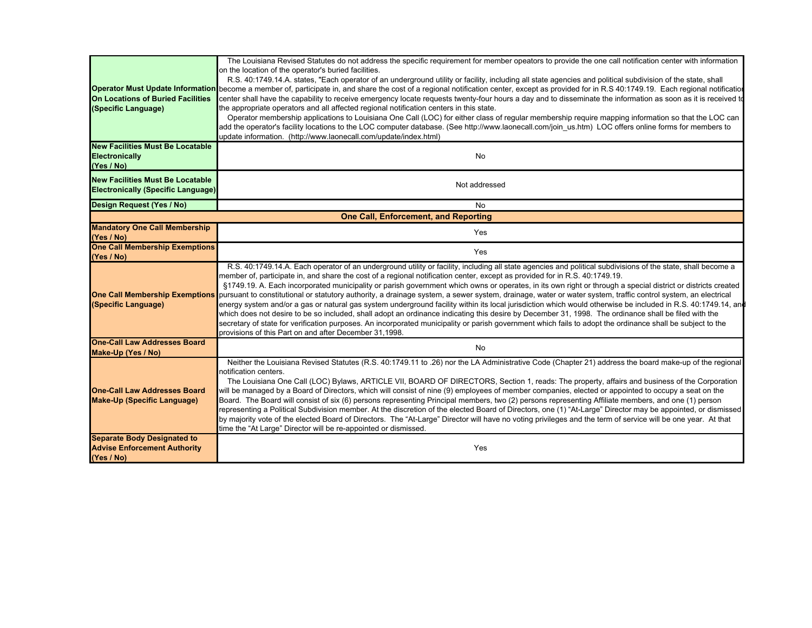| On Locations of Buried Facilities<br>(Specific Language)                                | The Louisiana Revised Statutes do not address the specific requirement for member opeators to provide the one call notification center with information<br>on the location of the operator's buried facilities.<br>R.S. 40:1749.14.A. states, "Each operator of an underground utility or facility, including all state agencies and political subdivision of the state, shall<br>Operator Must Update Information become a member of, participate in, and share the cost of a regional notification center, except as provided for in R.S 40:1749.19. Each regional notification<br>center shall have the capability to receive emergency locate requests twenty-four hours a day and to disseminate the information as soon as it is received to<br>the appropriate operators and all affected regional notification centers in this state.<br>Operator membership applications to Louisiana One Call (LOC) for either class of regular membership require mapping information so that the LOC can<br>add the operator's facility locations to the LOC computer database. (See http://www.laonecall.com/join us.htm) LOC offers online forms for members to<br>update information. (http://www.laonecall.com/update/index.html) |  |
|-----------------------------------------------------------------------------------------|-----------------------------------------------------------------------------------------------------------------------------------------------------------------------------------------------------------------------------------------------------------------------------------------------------------------------------------------------------------------------------------------------------------------------------------------------------------------------------------------------------------------------------------------------------------------------------------------------------------------------------------------------------------------------------------------------------------------------------------------------------------------------------------------------------------------------------------------------------------------------------------------------------------------------------------------------------------------------------------------------------------------------------------------------------------------------------------------------------------------------------------------------------------------------------------------------------------------------------------|--|
| <b>New Facilities Must Be Locatable</b><br><b>Electronically</b><br>(Yes / No)          | No                                                                                                                                                                                                                                                                                                                                                                                                                                                                                                                                                                                                                                                                                                                                                                                                                                                                                                                                                                                                                                                                                                                                                                                                                                |  |
| <b>New Facilities Must Be Locatable</b><br><b>Electronically (Specific Language)</b>    | Not addressed                                                                                                                                                                                                                                                                                                                                                                                                                                                                                                                                                                                                                                                                                                                                                                                                                                                                                                                                                                                                                                                                                                                                                                                                                     |  |
| Design Request (Yes / No)                                                               | <b>No</b>                                                                                                                                                                                                                                                                                                                                                                                                                                                                                                                                                                                                                                                                                                                                                                                                                                                                                                                                                                                                                                                                                                                                                                                                                         |  |
|                                                                                         | <b>One Call, Enforcement, and Reporting</b>                                                                                                                                                                                                                                                                                                                                                                                                                                                                                                                                                                                                                                                                                                                                                                                                                                                                                                                                                                                                                                                                                                                                                                                       |  |
| <b>Mandatory One Call Membership</b><br>(Yes / No)                                      | <b>Yes</b>                                                                                                                                                                                                                                                                                                                                                                                                                                                                                                                                                                                                                                                                                                                                                                                                                                                                                                                                                                                                                                                                                                                                                                                                                        |  |
| <b>One Call Membership Exemptions</b><br>(Yes / No)                                     | Yes                                                                                                                                                                                                                                                                                                                                                                                                                                                                                                                                                                                                                                                                                                                                                                                                                                                                                                                                                                                                                                                                                                                                                                                                                               |  |
| <b>One Call Membership Exemptions</b><br>(Specific Language)                            | R.S. 40:1749.14.A. Each operator of an underground utility or facility, including all state agencies and political subdivisions of the state, shall become a<br>member of, participate in, and share the cost of a regional notification center, except as provided for in R.S. 40:1749.19.<br>§1749.19. A. Each incorporated municipality or parish government which owns or operates, in its own right or through a special district or districts created<br>pursuant to constitutional or statutory authority, a drainage system, a sewer system, drainage, water or water system, traffic control system, an electrical<br>energy system and/or a gas or natural gas system underground facility within its local jurisdiction which would otherwise be included in R.S. 40:1749.14, and<br>which does not desire to be so included, shall adopt an ordinance indicating this desire by December 31, 1998. The ordinance shall be filed with the<br>secretary of state for verification purposes. An incorporated municipality or parish government which fails to adopt the ordinance shall be subject to the<br>provisions of this Part on and after December 31.1998.                                                      |  |
| <b>One-Call Law Addresses Board</b><br>Make-Up (Yes / No)                               | No                                                                                                                                                                                                                                                                                                                                                                                                                                                                                                                                                                                                                                                                                                                                                                                                                                                                                                                                                                                                                                                                                                                                                                                                                                |  |
| <b>One-Call Law Addresses Board</b><br><b>Make-Up (Specific Language)</b>               | Neither the Louisiana Revised Statutes (R.S. 40:1749.11 to .26) nor the LA Administrative Code (Chapter 21) address the board make-up of the regional<br>notification centers.<br>The Louisiana One Call (LOC) Bylaws, ARTICLE VII, BOARD OF DIRECTORS, Section 1, reads: The property, affairs and business of the Corporation<br>will be managed by a Board of Directors, which will consist of nine (9) employees of member companies, elected or appointed to occupy a seat on the<br>Board. The Board will consist of six (6) persons representing Principal members, two (2) persons representing Affiliate members, and one (1) person<br>representing a Political Subdivision member. At the discretion of the elected Board of Directors, one (1) "At-Large" Director may be appointed, or dismissed<br>by majority vote of the elected Board of Directors. The "At-Large" Director will have no voting privileges and the term of service will be one year. At that<br>time the "At Large" Director will be re-appointed or dismissed.                                                                                                                                                                                  |  |
| <b>Separate Body Designated to</b><br><b>Advise Enforcement Authority</b><br>(Yes / No) | Yes                                                                                                                                                                                                                                                                                                                                                                                                                                                                                                                                                                                                                                                                                                                                                                                                                                                                                                                                                                                                                                                                                                                                                                                                                               |  |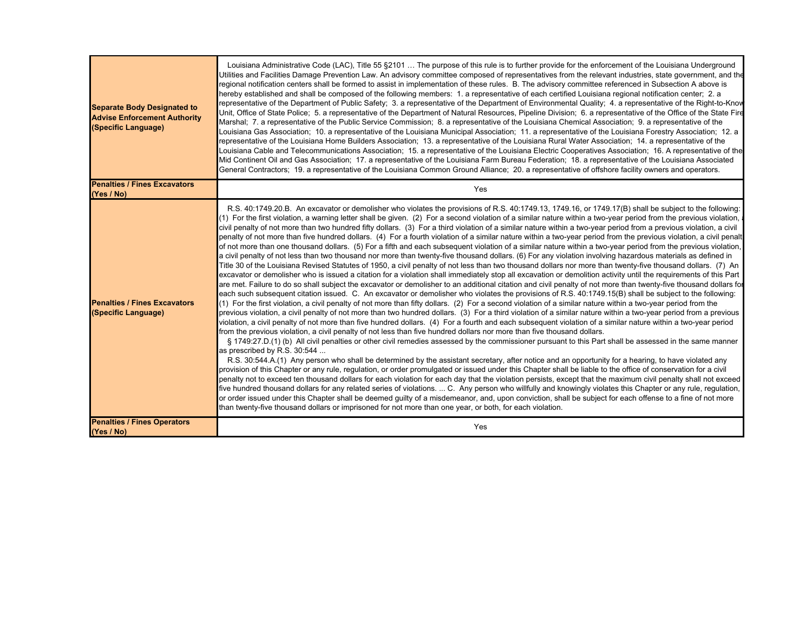| <b>Separate Body Designated to</b><br><b>Advise Enforcement Authority</b><br>(Specific Language) | Louisiana Administrative Code (LAC), Title 55 §2101  The purpose of this rule is to further provide for the enforcement of the Louisiana Underground<br>Utilities and Facilities Damage Prevention Law. An advisory committee composed of representatives from the relevant industries, state government, and the<br>regional notification centers shall be formed to assist in implementation of these rules. B. The advisory committee referenced in Subsection A above is<br>hereby established and shall be composed of the following members: 1. a representative of each certified Louisiana regional notification center; 2. a<br>representative of the Department of Public Safety; 3. a representative of the Department of Environmental Quality; 4. a representative of the Right-to-Knov<br>Unit, Office of State Police; 5. a representative of the Department of Natural Resources, Pipeline Division; 6. a representative of the Office of the State Fire<br>Marshal; 7. a representative of the Public Service Commission; 8. a representative of the Louisiana Chemical Association; 9. a representative of the<br>Louisiana Gas Association; 10. a representative of the Louisiana Municipal Association; 11. a representative of the Louisiana Forestry Association; 12. a<br>representative of the Louisiana Home Builders Association; 13. a representative of the Louisiana Rural Water Association; 14. a representative of the<br>Louisiana Cable and Telecommunications Association; 15. a representative of the Louisiana Electric Cooperatives Association; 16. A representative of the<br>Mid Continent Oil and Gas Association; 17. a representative of the Louisiana Farm Bureau Federation; 18. a representative of the Louisiana Associated<br>General Contractors; 19. a representative of the Louisiana Common Ground Alliance; 20. a representative of offshore facility owners and operators.                                                                                                                                                                                                                                                                                                                                                                                                                                                                                                                                                                                                                                                                                                                                                                                                                                                                                                                                                                                                                                                                                                                                                                                                                                                                                                                                                                                                                                                                                                                   |
|--------------------------------------------------------------------------------------------------|-----------------------------------------------------------------------------------------------------------------------------------------------------------------------------------------------------------------------------------------------------------------------------------------------------------------------------------------------------------------------------------------------------------------------------------------------------------------------------------------------------------------------------------------------------------------------------------------------------------------------------------------------------------------------------------------------------------------------------------------------------------------------------------------------------------------------------------------------------------------------------------------------------------------------------------------------------------------------------------------------------------------------------------------------------------------------------------------------------------------------------------------------------------------------------------------------------------------------------------------------------------------------------------------------------------------------------------------------------------------------------------------------------------------------------------------------------------------------------------------------------------------------------------------------------------------------------------------------------------------------------------------------------------------------------------------------------------------------------------------------------------------------------------------------------------------------------------------------------------------------------------------------------------------------------------------------------------------------------------------------------------------------------------------------------------------------------------------------------------------------------------------------------------------------------------------------------------------------------------------------------------------------------------------------------------------------------------------------------------------------------------------------------------------------------------------------------------------------------------------------------------------------------------------------------------------------------------------------------------------------------------------------------------------------------------------------------------------------------------------------------------------------------------------------------------------------------------------------------------------------------------------------------------------------------------------------------------------------------------------------------------------------------------------------------------------------------------------------------------------------------------------------------------------------------------------------------------------------------------------------------------------------------------------------------------------------------------------------------------------------------------------------------------------------------------------------------|
| <b>Penalties / Fines Excavators</b><br>(Yes / No)                                                | Yes                                                                                                                                                                                                                                                                                                                                                                                                                                                                                                                                                                                                                                                                                                                                                                                                                                                                                                                                                                                                                                                                                                                                                                                                                                                                                                                                                                                                                                                                                                                                                                                                                                                                                                                                                                                                                                                                                                                                                                                                                                                                                                                                                                                                                                                                                                                                                                                                                                                                                                                                                                                                                                                                                                                                                                                                                                                                                                                                                                                                                                                                                                                                                                                                                                                                                                                                                                                                                                                 |
| <b>Penalties / Fines Excavators</b><br>(Specific Language)                                       | R.S. 40:1749.20.B. An excavator or demolisher who violates the provisions of R.S. 40:1749.13, 1749.16, or 1749.17(B) shall be subject to the following:<br>(1) For the first violation, a warning letter shall be given. (2) For a second violation of a similar nature within a two-year period from the previous violation,<br>civil penalty of not more than two hundred fifty dollars. (3) For a third violation of a similar nature within a two-year period from a previous violation, a civil<br>penalty of not more than five hundred dollars. (4) For a fourth violation of a similar nature within a two-year period from the previous violation, a civil penalt<br>of not more than one thousand dollars. (5) For a fifth and each subsequent violation of a similar nature within a two-year period from the previous violation,<br>a civil penalty of not less than two thousand nor more than twenty-five thousand dollars. (6) For any violation involving hazardous materials as defined in<br>Title 30 of the Louisiana Revised Statutes of 1950, a civil penalty of not less than two thousand dollars nor more than twenty-five thousand dollars. (7) An<br>excavator or demolisher who is issued a citation for a violation shall immediately stop all excavation or demolition activity until the requirements of this Part<br>are met. Failure to do so shall subject the excavator or demolisher to an additional citation and civil penalty of not more than twenty-five thousand dollars for<br>each such subsequent citation issued. C. An excavator or demolisher who violates the provisions of R.S. 40:1749.15(B) shall be subject to the following:<br>(1) For the first violation, a civil penalty of not more than fifty dollars. (2) For a second violation of a similar nature within a two-year period from the<br>previous violation, a civil penalty of not more than two hundred dollars. (3) For a third violation of a similar nature within a two-year period from a previous<br>violation, a civil penalty of not more than five hundred dollars. (4) For a fourth and each subsequent violation of a similar nature within a two-year period<br>from the previous violation, a civil penalty of not less than five hundred dollars nor more than five thousand dollars.<br>§ 1749:27.D.(1) (b) All civil penalties or other civil remedies assessed by the commissioner pursuant to this Part shall be assessed in the same manner<br>as prescribed by R.S. 30:544<br>R.S. 30:544.A.(1) Any person who shall be determined by the assistant secretary, after notice and an opportunity for a hearing, to have violated any<br>provision of this Chapter or any rule, regulation, or order promulgated or issued under this Chapter shall be liable to the office of conservation for a civil<br>penalty not to exceed ten thousand dollars for each violation for each day that the violation persists, except that the maximum civil penalty shall not exceed<br>five hundred thousand dollars for any related series of violations.  C. Any person who willfully and knowingly violates this Chapter or any rule, regulation,<br>or order issued under this Chapter shall be deemed guilty of a misdemeanor, and, upon conviction, shall be subject for each offense to a fine of not more<br>than twenty-five thousand dollars or imprisoned for not more than one year, or both, for each violation. |
| <b>Penalties / Fines Operators</b><br>(Yes / No)                                                 | Yes                                                                                                                                                                                                                                                                                                                                                                                                                                                                                                                                                                                                                                                                                                                                                                                                                                                                                                                                                                                                                                                                                                                                                                                                                                                                                                                                                                                                                                                                                                                                                                                                                                                                                                                                                                                                                                                                                                                                                                                                                                                                                                                                                                                                                                                                                                                                                                                                                                                                                                                                                                                                                                                                                                                                                                                                                                                                                                                                                                                                                                                                                                                                                                                                                                                                                                                                                                                                                                                 |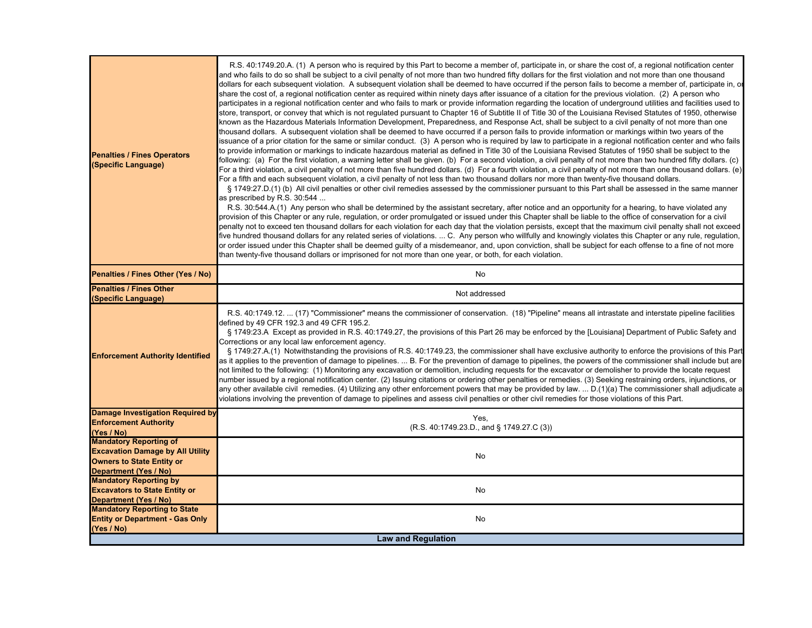| <b>Penalties / Fines Operators</b><br>(Specific Language)                                                                             | R.S. 40:1749.20.A. (1) A person who is required by this Part to become a member of, participate in, or share the cost of, a regional notification center<br>and who fails to do so shall be subject to a civil penalty of not more than two hundred fifty dollars for the first violation and not more than one thousand<br>dollars for each subsequent violation. A subsequent violation shall be deemed to have occurred if the person fails to become a member of, participate in, or<br>share the cost of, a regional notification center as required within ninety days after issuance of a citation for the previous violation. (2) A person who<br>participates in a regional notification center and who fails to mark or provide information regarding the location of underground utilities and facilities used to<br>store, transport, or convey that which is not regulated pursuant to Chapter 16 of Subtitle II of Title 30 of the Louisiana Revised Statutes of 1950, otherwise<br>known as the Hazardous Materials Information Development, Preparedness, and Response Act, shall be subject to a civil penalty of not more than one<br>thousand dollars. A subsequent violation shall be deemed to have occurred if a person fails to provide information or markings within two years of the<br>issuance of a prior citation for the same or similar conduct. (3) A person who is required by law to participate in a regional notification center and who fails<br>to provide information or markings to indicate hazardous material as defined in Title 30 of the Louisiana Revised Statutes of 1950 shall be subject to the<br>following: (a) For the first violation, a warning letter shall be given. (b) For a second violation, a civil penalty of not more than two hundred fifty dollars. (c)<br>For a third violation, a civil penalty of not more than five hundred dollars. (d) For a fourth violation, a civil penalty of not more than one thousand dollars. (e)<br>For a fifth and each subsequent violation, a civil penalty of not less than two thousand dollars nor more than twenty-five thousand dollars.<br>§ 1749:27.D.(1) (b) All civil penalties or other civil remedies assessed by the commissioner pursuant to this Part shall be assessed in the same manner<br>as prescribed by R.S. 30:544<br>R.S. 30:544.A.(1) Any person who shall be determined by the assistant secretary, after notice and an opportunity for a hearing, to have violated any<br>provision of this Chapter or any rule, regulation, or order promulgated or issued under this Chapter shall be liable to the office of conservation for a civil<br>penalty not to exceed ten thousand dollars for each violation for each day that the violation persists, except that the maximum civil penalty shall not exceed<br>five hundred thousand dollars for any related series of violations.  C. Any person who willfully and knowingly violates this Chapter or any rule, regulation,<br>or order issued under this Chapter shall be deemed guilty of a misdemeanor, and, upon conviction, shall be subject for each offense to a fine of not more<br>than twenty-five thousand dollars or imprisoned for not more than one year, or both, for each violation. |
|---------------------------------------------------------------------------------------------------------------------------------------|-----------------------------------------------------------------------------------------------------------------------------------------------------------------------------------------------------------------------------------------------------------------------------------------------------------------------------------------------------------------------------------------------------------------------------------------------------------------------------------------------------------------------------------------------------------------------------------------------------------------------------------------------------------------------------------------------------------------------------------------------------------------------------------------------------------------------------------------------------------------------------------------------------------------------------------------------------------------------------------------------------------------------------------------------------------------------------------------------------------------------------------------------------------------------------------------------------------------------------------------------------------------------------------------------------------------------------------------------------------------------------------------------------------------------------------------------------------------------------------------------------------------------------------------------------------------------------------------------------------------------------------------------------------------------------------------------------------------------------------------------------------------------------------------------------------------------------------------------------------------------------------------------------------------------------------------------------------------------------------------------------------------------------------------------------------------------------------------------------------------------------------------------------------------------------------------------------------------------------------------------------------------------------------------------------------------------------------------------------------------------------------------------------------------------------------------------------------------------------------------------------------------------------------------------------------------------------------------------------------------------------------------------------------------------------------------------------------------------------------------------------------------------------------------------------------------------------------------------------------------------------------------------------------------------------------------------------------------------------------------------------------------------------------------------------------------------------------------------------------------------------------------------------------------------------------------------------------------------------------------------------------------------------------|
| Penalties / Fines Other (Yes / No)                                                                                                    | No                                                                                                                                                                                                                                                                                                                                                                                                                                                                                                                                                                                                                                                                                                                                                                                                                                                                                                                                                                                                                                                                                                                                                                                                                                                                                                                                                                                                                                                                                                                                                                                                                                                                                                                                                                                                                                                                                                                                                                                                                                                                                                                                                                                                                                                                                                                                                                                                                                                                                                                                                                                                                                                                                                                                                                                                                                                                                                                                                                                                                                                                                                                                                                                                                                                                                |
| <b>Penalties / Fines Other</b><br>(Specific Language)                                                                                 | Not addressed                                                                                                                                                                                                                                                                                                                                                                                                                                                                                                                                                                                                                                                                                                                                                                                                                                                                                                                                                                                                                                                                                                                                                                                                                                                                                                                                                                                                                                                                                                                                                                                                                                                                                                                                                                                                                                                                                                                                                                                                                                                                                                                                                                                                                                                                                                                                                                                                                                                                                                                                                                                                                                                                                                                                                                                                                                                                                                                                                                                                                                                                                                                                                                                                                                                                     |
| <b>Enforcement Authority Identified</b>                                                                                               | R.S. 40:1749.12.  (17) "Commissioner" means the commissioner of conservation. (18) "Pipeline" means all intrastate and interstate pipeline facilities<br>defined by 49 CFR 192.3 and 49 CFR 195.2.<br>§ 1749:23.A Except as provided in R.S. 40:1749.27, the provisions of this Part 26 may be enforced by the [Louisiana] Department of Public Safety and<br>Corrections or any local law enforcement agency.<br>§ 1749:27.A.(1) Notwithstanding the provisions of R.S. 40:1749.23, the commissioner shall have exclusive authority to enforce the provisions of this Part<br>as it applies to the prevention of damage to pipelines.  B. For the prevention of damage to pipelines, the powers of the commissioner shall include but are<br>not limited to the following: (1) Monitoring any excavation or demolition, including requests for the excavator or demolisher to provide the locate request<br>number issued by a regional notification center. (2) Issuing citations or ordering other penalties or remedies. (3) Seeking restraining orders, injunctions, or<br>any other available civil remedies. (4) Utilizing any other enforcement powers that may be provided by law.  D.(1)(a) The commissioner shall adjudicate a<br>violations involving the prevention of damage to pipelines and assess civil penalties or other civil remedies for those violations of this Part.                                                                                                                                                                                                                                                                                                                                                                                                                                                                                                                                                                                                                                                                                                                                                                                                                                                                                                                                                                                                                                                                                                                                                                                                                                                                                                                                                                                                                                                                                                                                                                                                                                                                                                                                                                                                                                                                                     |
| <b>Damage Investigation Required by</b><br><b>Enforcement Authority</b><br>(Yes / No)                                                 | Yes,<br>(R.S. 40:1749.23.D., and § 1749.27.C (3))                                                                                                                                                                                                                                                                                                                                                                                                                                                                                                                                                                                                                                                                                                                                                                                                                                                                                                                                                                                                                                                                                                                                                                                                                                                                                                                                                                                                                                                                                                                                                                                                                                                                                                                                                                                                                                                                                                                                                                                                                                                                                                                                                                                                                                                                                                                                                                                                                                                                                                                                                                                                                                                                                                                                                                                                                                                                                                                                                                                                                                                                                                                                                                                                                                 |
| <b>Mandatory Reporting of</b><br><b>Excavation Damage by All Utility</b><br><b>Owners to State Entity or</b><br>Department (Yes / No) | No                                                                                                                                                                                                                                                                                                                                                                                                                                                                                                                                                                                                                                                                                                                                                                                                                                                                                                                                                                                                                                                                                                                                                                                                                                                                                                                                                                                                                                                                                                                                                                                                                                                                                                                                                                                                                                                                                                                                                                                                                                                                                                                                                                                                                                                                                                                                                                                                                                                                                                                                                                                                                                                                                                                                                                                                                                                                                                                                                                                                                                                                                                                                                                                                                                                                                |
| <b>Mandatory Reporting by</b><br><b>Excavators to State Entity or</b><br>Department (Yes / No)                                        | No                                                                                                                                                                                                                                                                                                                                                                                                                                                                                                                                                                                                                                                                                                                                                                                                                                                                                                                                                                                                                                                                                                                                                                                                                                                                                                                                                                                                                                                                                                                                                                                                                                                                                                                                                                                                                                                                                                                                                                                                                                                                                                                                                                                                                                                                                                                                                                                                                                                                                                                                                                                                                                                                                                                                                                                                                                                                                                                                                                                                                                                                                                                                                                                                                                                                                |
| <b>Mandatory Reporting to State</b><br><b>Entity or Department - Gas Only</b><br>(Yes / No)                                           | No                                                                                                                                                                                                                                                                                                                                                                                                                                                                                                                                                                                                                                                                                                                                                                                                                                                                                                                                                                                                                                                                                                                                                                                                                                                                                                                                                                                                                                                                                                                                                                                                                                                                                                                                                                                                                                                                                                                                                                                                                                                                                                                                                                                                                                                                                                                                                                                                                                                                                                                                                                                                                                                                                                                                                                                                                                                                                                                                                                                                                                                                                                                                                                                                                                                                                |
| <b>Law and Regulation</b>                                                                                                             |                                                                                                                                                                                                                                                                                                                                                                                                                                                                                                                                                                                                                                                                                                                                                                                                                                                                                                                                                                                                                                                                                                                                                                                                                                                                                                                                                                                                                                                                                                                                                                                                                                                                                                                                                                                                                                                                                                                                                                                                                                                                                                                                                                                                                                                                                                                                                                                                                                                                                                                                                                                                                                                                                                                                                                                                                                                                                                                                                                                                                                                                                                                                                                                                                                                                                   |